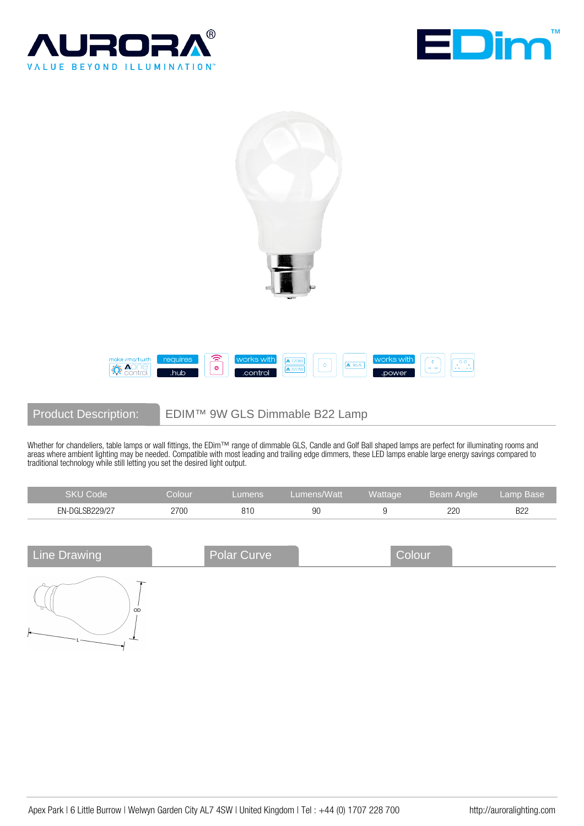





Product Description: EDIM™ 9W GLS Dimmable B22 Lamp

Whether for chandeliers, table lamps or wall fittings, the EDim™ range of dimmable GLS, Candle and Golf Ball shaped lamps are perfect for illuminating rooms and areas where ambient lighting may be needed. Compatible with most leading and trailing edge dimmers, these LED lamps enable large energy savings compared to traditional technology while still letting you set the desired light output.

| SKU Code       | $\mathcal L$ olour $\mathcal C$ | umens. | Lumens/Watt | Wattage | Beam Angle | Lamp Base  |
|----------------|---------------------------------|--------|-------------|---------|------------|------------|
| EN-DGLSB229/27 | 2700                            | 810    | 90          |         | 220        | <b>B22</b> |

| <b>Line Drawing</b> | Polar Curve | Colour |  |
|---------------------|-------------|--------|--|
| OD                  |             |        |  |
|                     |             |        |  |